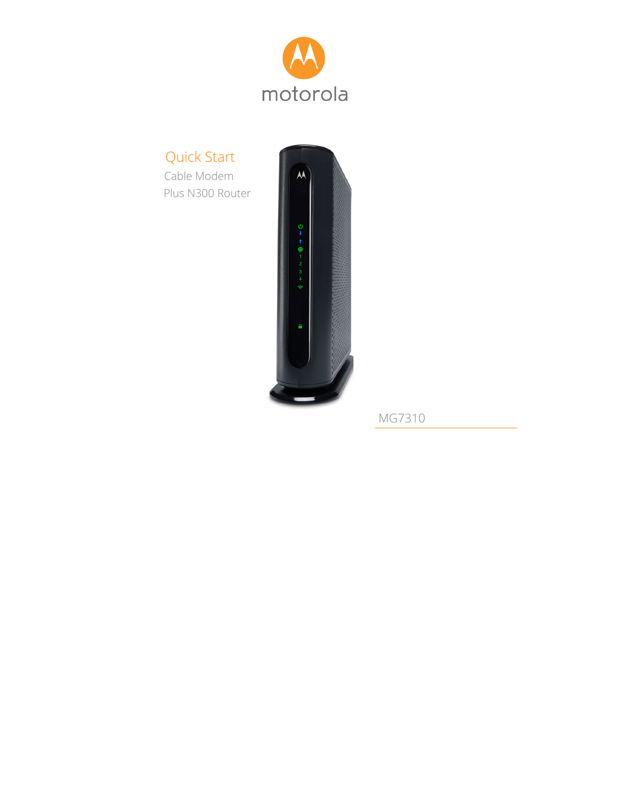

# Quick Start

 Cable Modem Plus N300 Router



MG7310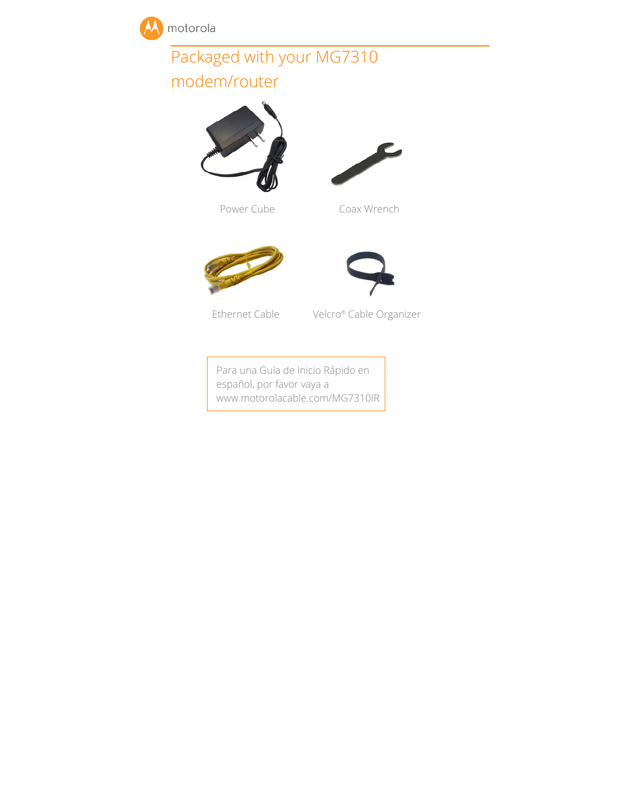

# Packaged with your MG7310

# modem/router











Ethernet Cable Velcro® Cable Organizer

Para una Guía de Inicio Rápido en español, por favor vaya a www.motorolacable.com/MG7310IR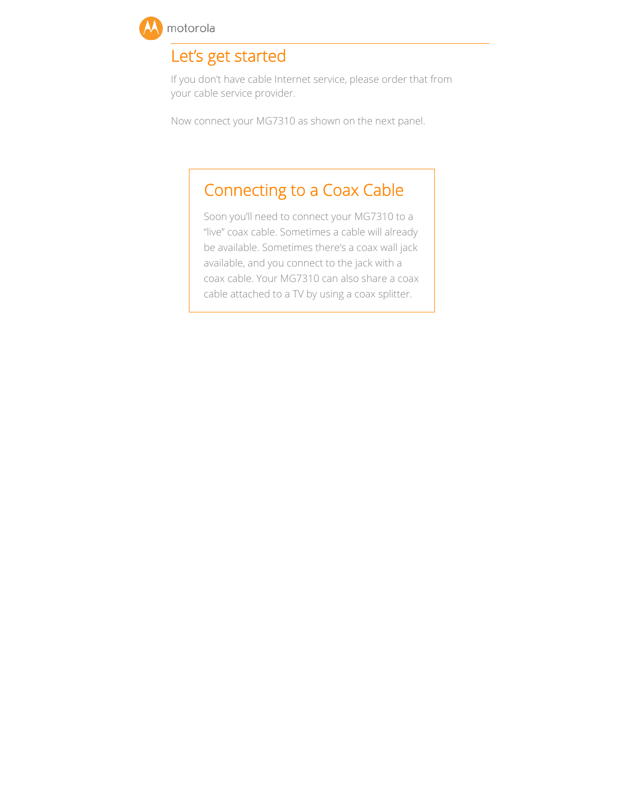

## Let's get started

If you don't have cable Internet service, please order that from your cable service provider.

Now connect your MG7310 as shown on the next panel.

# Connecting to a Coax Cable

Soon you'll need to connect your MG7310 to a "live" coax cable. Sometimes a cable will already be available. Sometimes there's a coax wall jack available, and you connect to the jack with a coax cable. Your MG7310 can also share a coax cable attached to a TV by using a coax splitter.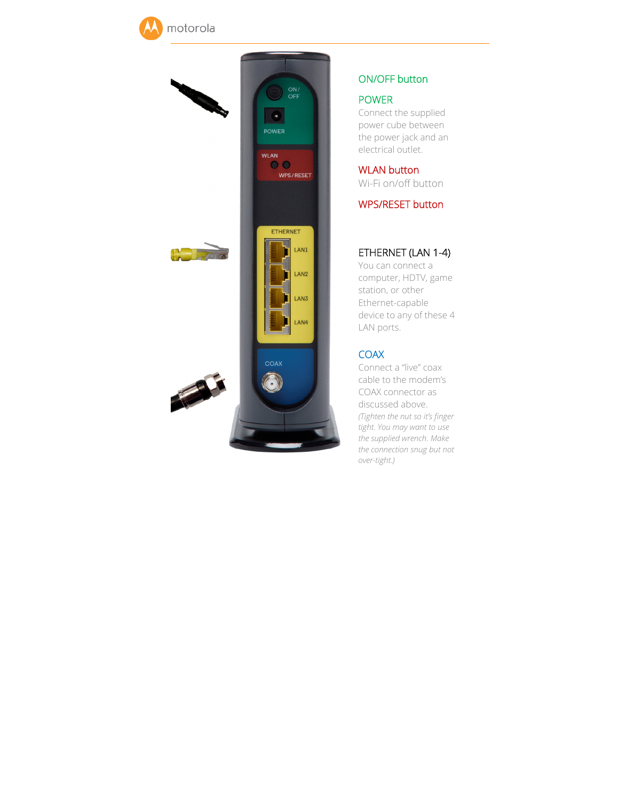



## ON/OFF button

#### POWER

Connect the supplied power cube between the power jack and an electrical outlet.

WLAN button Wi-Fi on/off button

WPS/RESET button

## ETHERNET (LAN 1-4)

You can connect a computer, HDTV, game station, or other Ethernet-capable device to any of these 4 LAN ports.

## **COAX**

Connect a "live" coax cable to the modem's COAX connector as discussed above. *(Tighten the nut so it's finger tight. You may want to use the supplied wrench. Make the connection snug but not over-tight.)*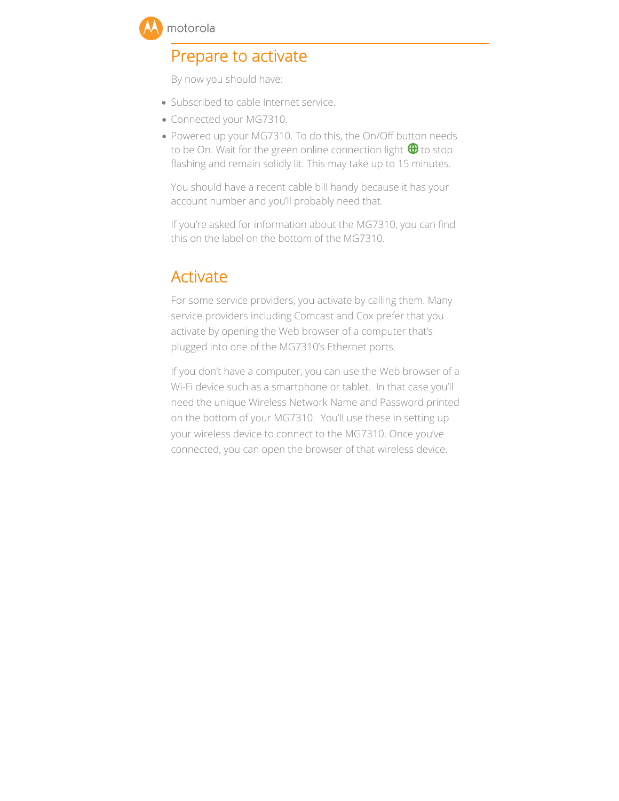

## Prepare to activate

By now you should have:

- Subscribed to cable Internet service.
- Connected your MG7310.
- Powered up your MG7310. To do this, the On/Off button needs to be On. Wait for the green online connection light  $\bigoplus$  to stop flashing and remain solidly lit. This may take up to 15 minutes.

You should have a recent cable bill handy because it has your account number and you'll probably need that.

If you're asked for information about the MG7310, you can find this on the label on the bottom of the MG7310.

## Activate

For some service providers, you activate by calling them. Many service providers including Comcast and Cox prefer that you activate by opening the Web browser of a computer that's plugged into one of the MG7310's Ethernet ports.

If you don't have a computer, you can use the Web browser of a Wi-Fi device such as a smartphone or tablet. In that case you'll need the unique Wireless Network Name and Password printed on the bottom of your MG7310. You'll use these in setting up your wireless device to connect to the MG7310. Once you've connected, you can open the browser of that wireless device.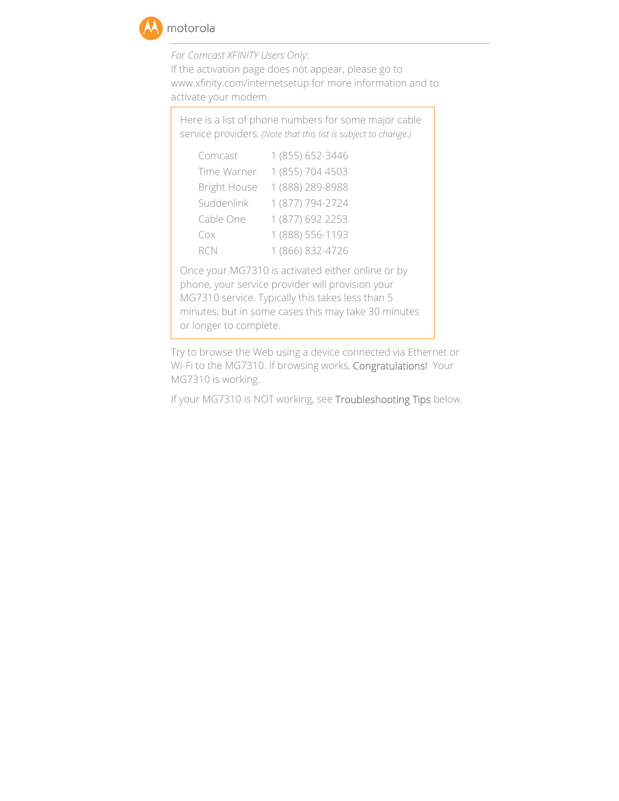

*For Comcast XFINITY Users Only*: If the activation page does not appear, please go to www.xfinity.com/internetsetup for more information and to activate your modem.

Here is a list of phone numbers for some major cable service providers*. (Note that this list is subject to change.)* 

| Comcast             | 1 (855) 652-3446 |
|---------------------|------------------|
| Time Warner         | 1 (855) 704 4503 |
| <b>Bright House</b> | 1 (888) 289-8988 |
| Suddenlink          | 1 (877) 794-2724 |
| Cable One           | 1 (877) 692 2253 |
| Cox                 | 1 (888) 556-1193 |
| RCN                 | 1 (866) 832-4726 |

Once your MG7310 is activated either online or by phone, your service provider will provision your MG7310 service. Typically this takes less than 5 minutes, but in some cases this may take 30 minutes or longer to complete.

Try to browse the Web using a device connected via Ethernet or Wi-Fi to the MG7310. If browsing works, Congratulations! Your MG7310 is working.

If your MG7310 is NOT working, see Troubleshooting Tips below.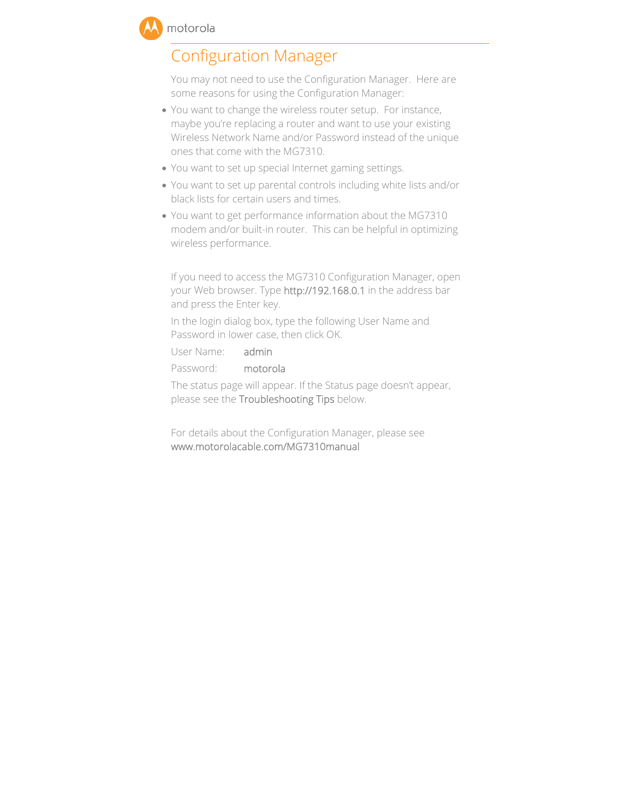## Configuration Manager

You may not need to use the Configuration Manager. Here are some reasons for using the Configuration Manager:

- You want to change the wireless router setup. For instance, maybe you're replacing a router and want to use your existing Wireless Network Name and/or Password instead of the unique ones that come with the MG7310.
- You want to set up special Internet gaming settings.
- You want to set up parental controls including white lists and/or black lists for certain users and times.
- You want to get performance information about the MG7310 modem and/or built-in router. This can be helpful in optimizing wireless performance.

If you need to access the MG7310 Configuration Manager, open your Web browser. Type http://192.168.0.1 in the address bar and press the Enter key.

In the login dialog box, type the following User Name and Password in lower case, then click OK.

User Name: admin

Password: motorola

The status page will appear. If the Status page doesn't appear, please see the Troubleshooting Tips below.

For details about the Configuration Manager, please see www.motorolacable.com/MG7310manual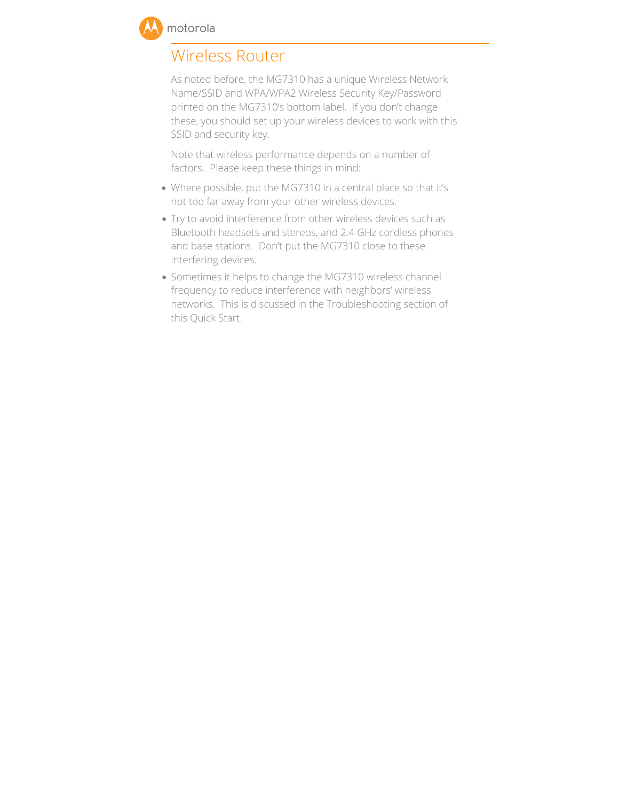

## Wireless Router

As noted before, the MG7310 has a unique Wireless Network Name/SSID and WPA/WPA2 Wireless Security Key/Password printed on the MG7310's bottom label. If you don't change these, you should set up your wireless devices to work with this SSID and security key.

Note that wireless performance depends on a number of factors. Please keep these things in mind:

- Where possible, put the MG7310 in a central place so that it's not too far away from your other wireless devices.
- Try to avoid interference from other wireless devices such as Bluetooth headsets and stereos, and 2.4 GHz cordless phones and base stations. Don't put the MG7310 close to these interfering devices.
- Sometimes it helps to change the MG7310 wireless channel frequency to reduce interference with neighbors' wireless networks. This is discussed in the Troubleshooting section of this Quick Start.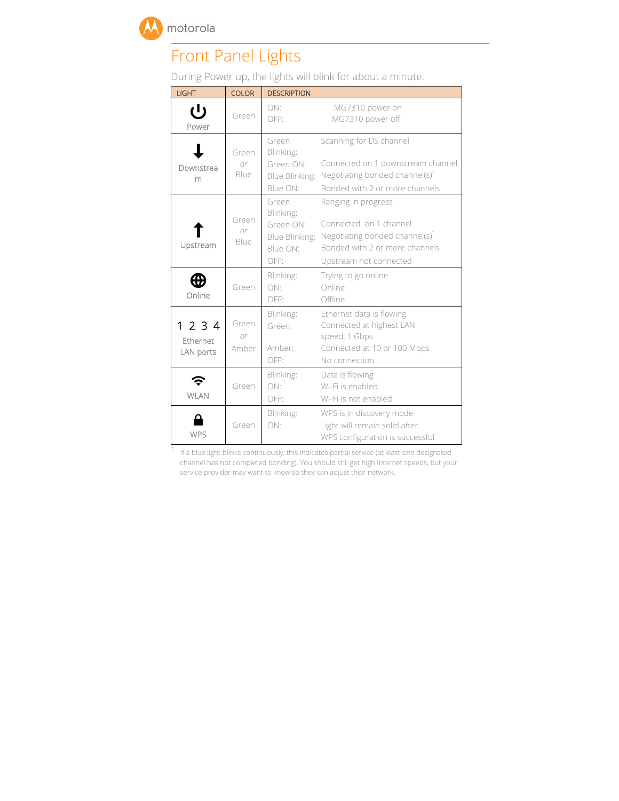

# Front Panel Lights

During Power up, the lights will blink for about a minute.

| <b>LIGHT</b>                     | <b>COLOR</b>         | <b>DESCRIPTION</b>                                                    |                                                                                                                                                 |
|----------------------------------|----------------------|-----------------------------------------------------------------------|-------------------------------------------------------------------------------------------------------------------------------------------------|
| じ<br>Power                       | Green                | ON:<br>OFF:                                                           | MG7310 power on<br>MG7310 power off                                                                                                             |
| Downstrea<br>m                   | Green<br>or<br>Blue  | Green<br>Blinking:<br>Green ON:<br>Blue Blinking:<br>Blue ON:         | Scanning for DS channel<br>Connected on 1 downstream channel<br>Negotiating bonded channel(s)'<br>Bonded with 2 or more channels                |
| Upstream                         | Green<br>0r<br>Blue  | Green<br>Blinking:<br>Green ON:<br>Blue Blinking:<br>Blue ON:<br>OFF: | Ranging in progress<br>Connected on 1 channel<br>Negotiating bonded channel(s) $^T$<br>Bonded with 2 or more channels<br>Upstream not connected |
| Online                           | Green                | Blinking:<br>ON:<br>OFF:                                              | Trying to go online<br>Online<br>Offline                                                                                                        |
| 1 2 3 4<br>Ethernet<br>LAN ports | Green<br>0r<br>Amber | Blinking:<br>Green:<br>Amber:<br>OFF:                                 | Ethernet data is flowing<br>Connected at highest LAN<br>speed, 1 Gbps<br>Connected at 10 or 100 Mbps<br>No connection                           |
| <b>WLAN</b>                      | Green                | Blinking:<br>ON:<br>OFF:                                              | Data is flowing<br>Wi-Fi is enabled<br>Wi-Fi is not enabled                                                                                     |
| <b>WPS</b>                       | Green                | Blinking:<br>ON:                                                      | WPS is in discovery mode<br>Light will remain solid after<br>WPS configuration is successful                                                    |

 $^\dagger$  If a blue light blinks continuously, this indicates partial service (at least one designated channel has not completed bonding). You should still get high Internet speeds, but your service provider may want to know so they can adjust their network.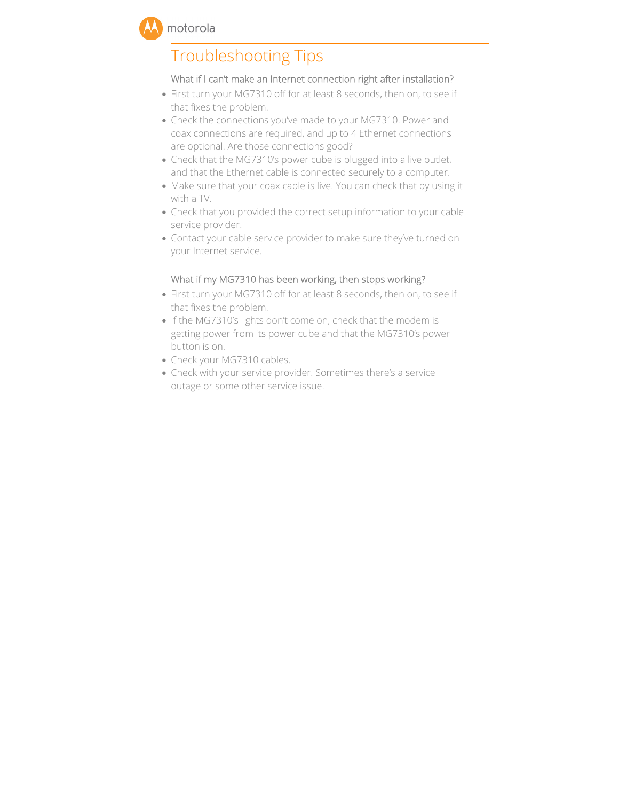

## Troubleshooting Tips

#### What if I can't make an Internet connection right after installation?

- First turn your MG7310 off for at least 8 seconds, then on, to see if that fixes the problem.
- Check the connections you've made to your MG7310. Power and coax connections are required, and up to 4 Ethernet connections are optional. Are those connections good?
- Check that the MG7310's power cube is plugged into a live outlet, and that the Ethernet cable is connected securely to a computer.
- Make sure that your coax cable is live. You can check that by using it with a TV.
- Check that you provided the correct setup information to your cable service provider.
- Contact your cable service provider to make sure they've turned on your Internet service.

#### What if my MG7310 has been working, then stops working?

- First turn your MG7310 off for at least 8 seconds, then on, to see if that fixes the problem.
- If the MG7310's lights don't come on, check that the modem is getting power from its power cube and that the MG7310's power button is on.
- Check your MG7310 cables.
- Check with your service provider. Sometimes there's a service outage or some other service issue.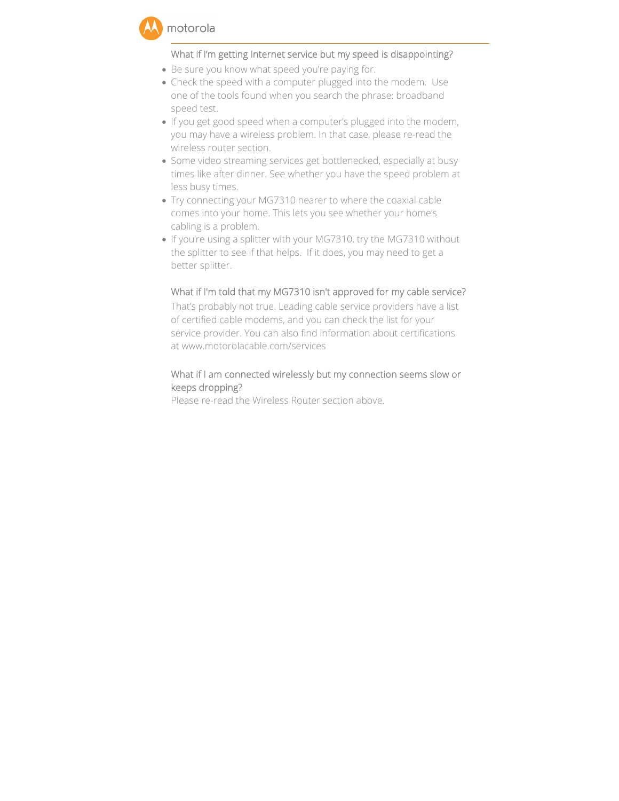## What if I'm getting Internet service but my speed is disappointing?

- Be sure you know what speed you're paying for.
- Check the speed with a computer plugged into the modem. Use one of the tools found when you search the phrase: broadband speed test.
- If you get good speed when a computer's plugged into the modem, you may have a wireless problem. In that case, please re-read the wireless router section.
- Some video streaming services get bottlenecked, especially at busy times like after dinner. See whether you have the speed problem at less busy times.
- Try connecting your MG7310 nearer to where the coaxial cable comes into your home. This lets you see whether your home's cabling is a problem.
- If you're using a splitter with your MG7310, try the MG7310 without the splitter to see if that helps. If it does, you may need to get a better splitter.

## What if I'm told that my MG7310 isn't approved for my cable service?

That's probably not true. Leading cable service providers have a list of certified cable modems, and you can check the list for your service provider. You can also find information about certifications at www.motorolacable.com/services

## What if I am connected wirelessly but my connection seems slow or keeps dropping?

Please re-read the Wireless Router section above.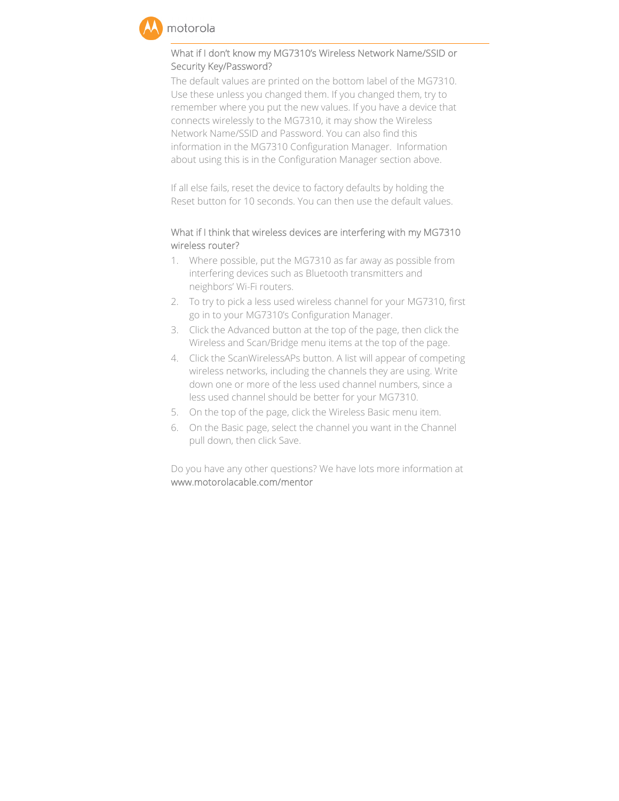

## What if I don't know my MG7310's Wireless Network Name/SSID or Security Key/Password?

The default values are printed on the bottom label of the MG7310. Use these unless you changed them. If you changed them, try to remember where you put the new values. If you have a device that connects wirelessly to the MG7310, it may show the Wireless Network Name/SSID and Password. You can also find this information in the MG7310 Configuration Manager. Information about using this is in the Configuration Manager section above.

If all else fails, reset the device to factory defaults by holding the Reset button for 10 seconds. You can then use the default values.

## What if I think that wireless devices are interfering with my MG7310 wireless router?

- 1. Where possible, put the MG7310 as far away as possible from interfering devices such as Bluetooth transmitters and neighbors' Wi-Fi routers.
- 2. To try to pick a less used wireless channel for your MG7310, first go in to your MG7310's Configuration Manager.
- 3. Click the Advanced button at the top of the page, then click the Wireless and Scan/Bridge menu items at the top of the page.
- 4. Click the ScanWirelessAPs button. A list will appear of competing wireless networks, including the channels they are using. Write down one or more of the less used channel numbers, since a less used channel should be better for your MG7310.
- 5. On the top of the page, click the Wireless Basic menu item.
- 6. On the Basic page, select the channel you want in the Channel pull down, then click Save.

Do you have any other questions? We have lots more information at www.motorolacable.com/mentor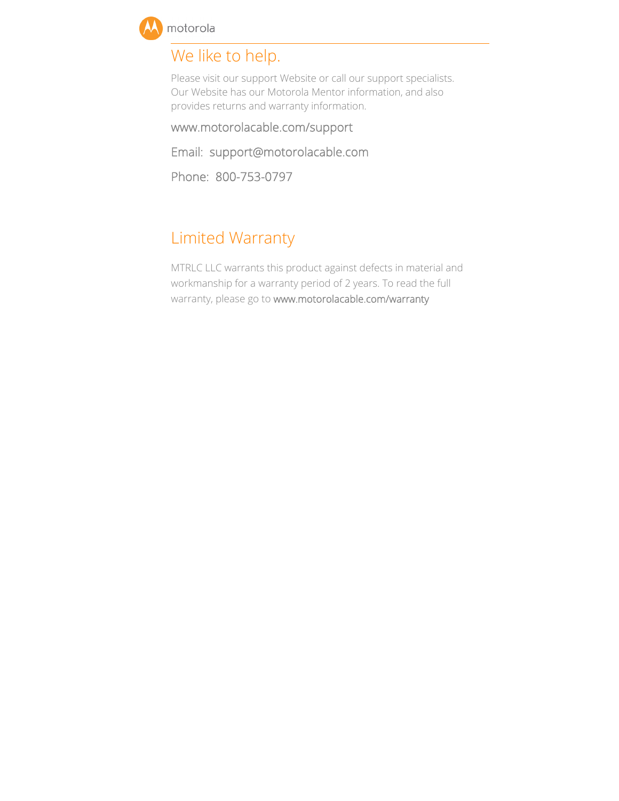

## We like to help.

Please visit our support Website or call our support specialists. Our Website has our Motorola Mentor information, and also provides returns and warranty information.

www.motorolacable.com/support

Email: support@motorolacable.com

Phone: 800-753-0797

## Limited Warranty

MTRLC LLC warrants this product against defects in material and workmanship for a warranty period of 2 years. To read the full warranty, please go to www.motorolacable.com/warranty